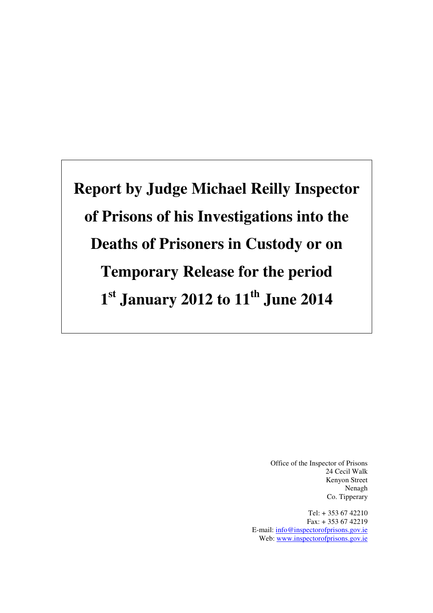**Report by Judge Michael Reilly Inspector of Prisons of his Investigations into the Deaths of Prisoners in Custody or on Temporary Release for the period 1 st January 2012 to 11th June 2014** 

> Office of the Inspector of Prisons 24 Cecil Walk Kenyon Street Nenagh Co. Tipperary

Tel: + 353 67 42210 Fax: + 353 67 42219 E-mail: info@inspectorofprisons.gov.ie Web: www.inspectorofprisons.gov.ie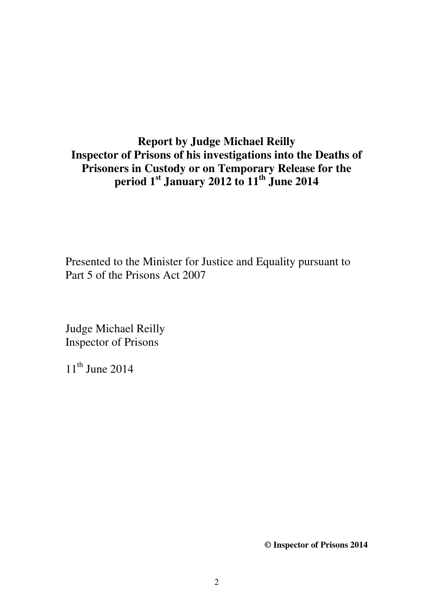# **Report by Judge Michael Reilly Inspector of Prisons of his investigations into the Deaths of Prisoners in Custody or on Temporary Release for the period 1st January 2012 to 11th June 2014**

Presented to the Minister for Justice and Equality pursuant to Part 5 of the Prisons Act 2007

Judge Michael Reilly Inspector of Prisons

 $11<sup>th</sup>$  June 2014

**© Inspector of Prisons 2014**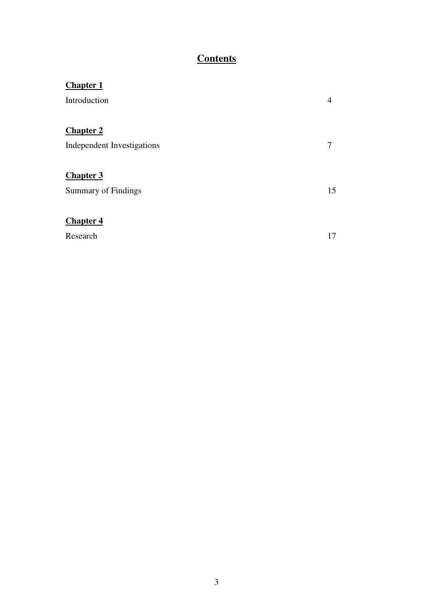# **Contents**

| <b>Chapter 1</b>           |    |
|----------------------------|----|
| Introduction               | 4  |
|                            |    |
| <b>Chapter 2</b>           |    |
| Independent Investigations | 7  |
|                            |    |
| <b>Chapter 3</b>           |    |
| <b>Summary of Findings</b> | 15 |
|                            |    |
| <b>Chapter 4</b>           |    |
| Research                   | 17 |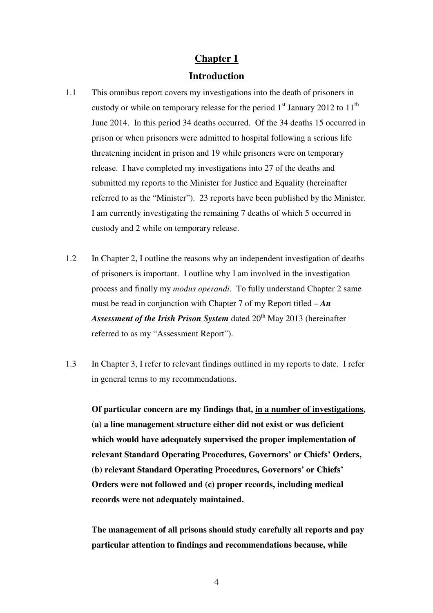## **Introduction**

- 1.1 This omnibus report covers my investigations into the death of prisoners in custody or while on temporary release for the period  $1<sup>st</sup>$  January 2012 to  $11<sup>th</sup>$ June 2014. In this period 34 deaths occurred. Of the 34 deaths 15 occurred in prison or when prisoners were admitted to hospital following a serious life threatening incident in prison and 19 while prisoners were on temporary release. I have completed my investigations into 27 of the deaths and submitted my reports to the Minister for Justice and Equality (hereinafter referred to as the "Minister"). 23 reports have been published by the Minister. I am currently investigating the remaining 7 deaths of which 5 occurred in custody and 2 while on temporary release.
- 1.2 In Chapter 2, I outline the reasons why an independent investigation of deaths of prisoners is important. I outline why I am involved in the investigation process and finally my *modus operandi*. To fully understand Chapter 2 same must be read in conjunction with Chapter 7 of my Report titled – *An*  Assessment of the Irish Prison System dated 20<sup>th</sup> May 2013 (hereinafter referred to as my "Assessment Report").
- 1.3 In Chapter 3, I refer to relevant findings outlined in my reports to date. I refer in general terms to my recommendations.

**Of particular concern are my findings that, in a number of investigations, (a) a line management structure either did not exist or was deficient which would have adequately supervised the proper implementation of relevant Standard Operating Procedures, Governors' or Chiefs' Orders, (b) relevant Standard Operating Procedures, Governors' or Chiefs' Orders were not followed and (c) proper records, including medical records were not adequately maintained.** 

**The management of all prisons should study carefully all reports and pay particular attention to findings and recommendations because, while**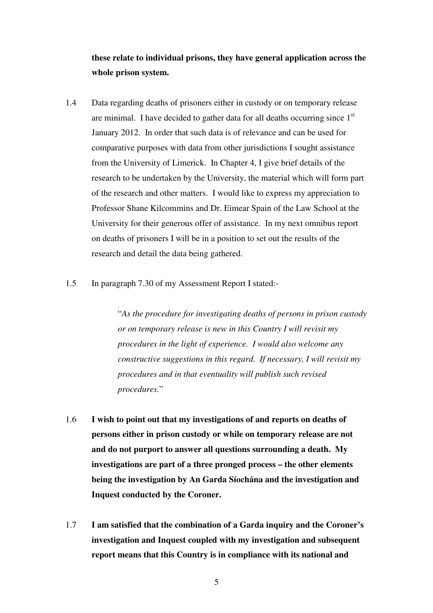**these relate to individual prisons, they have general application across the whole prison system.**

- 1.4 Data regarding deaths of prisoners either in custody or on temporary release are minimal. I have decided to gather data for all deaths occurring since  $1<sup>st</sup>$ January 2012. In order that such data is of relevance and can be used for comparative purposes with data from other jurisdictions I sought assistance from the University of Limerick. In Chapter 4, I give brief details of the research to be undertaken by the University, the material which will form part of the research and other matters. I would like to express my appreciation to Professor Shane Kilcommins and Dr. Eimear Spain of the Law School at the University for their generous offer of assistance. In my next omnibus report on deaths of prisoners I will be in a position to set out the results of the research and detail the data being gathered.
- 1.5 In paragraph 7.30 of my Assessment Report I stated:-

"*As the procedure for investigating deaths of persons in prison custody or on temporary release is new in this Country I will revisit my procedures in the light of experience. I would also welcome any constructive suggestions in this regard. If necessary, I will revisit my procedures and in that eventuality will publish such revised procedures.*"

- 1.6 **I wish to point out that my investigations of and reports on deaths of persons either in prison custody or while on temporary release are not and do not purport to answer all questions surrounding a death. My investigations are part of a three pronged process – the other elements being the investigation by An Garda Síochána and the investigation and Inquest conducted by the Coroner.**
- 1.7 **I am satisfied that the combination of a Garda inquiry and the Coroner's investigation and Inquest coupled with my investigation and subsequent report means that this Country is in compliance with its national and**

5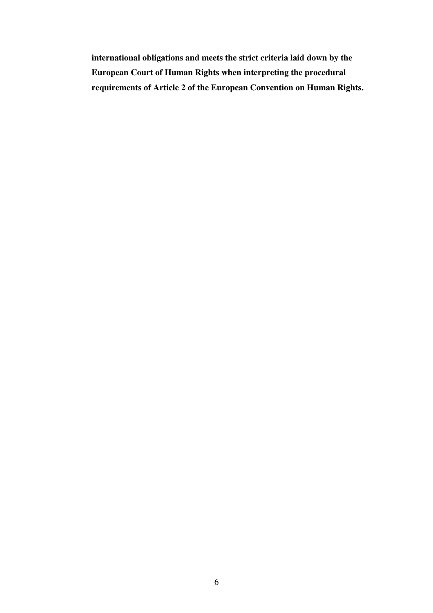**international obligations and meets the strict criteria laid down by the European Court of Human Rights when interpreting the procedural requirements of Article 2 of the European Convention on Human Rights.**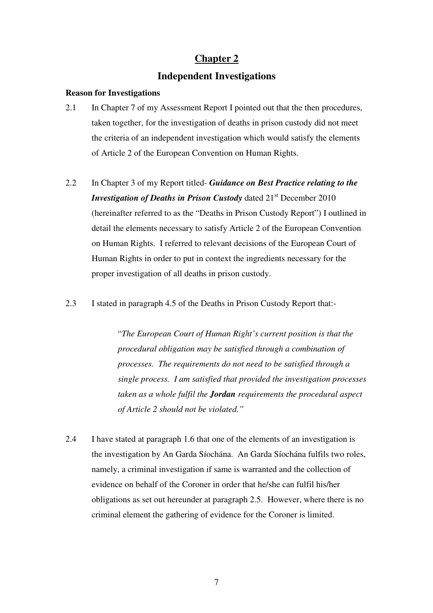## **Independent Investigations**

## **Reason for Investigations**

- 2.1 In Chapter 7 of my Assessment Report I pointed out that the then procedures, taken together, for the investigation of deaths in prison custody did not meet the criteria of an independent investigation which would satisfy the elements of Article 2 of the European Convention on Human Rights.
- 2.2 In Chapter 3 of my Report titled- *Guidance on Best Practice relating to the Investigation of Deaths in Prison Custody* dated 21<sup>st</sup> December 2010 (hereinafter referred to as the "Deaths in Prison Custody Report") I outlined in detail the elements necessary to satisfy Article 2 of the European Convention on Human Rights. I referred to relevant decisions of the European Court of Human Rights in order to put in context the ingredients necessary for the proper investigation of all deaths in prison custody.
- 2.3 I stated in paragraph 4.5 of the Deaths in Prison Custody Report that:-

"*The European Court of Human Right's current position is that the procedural obligation may be satisfied through a combination of processes. The requirements do not need to be satisfied through a single process. I am satisfied that provided the investigation processes taken as a whole fulfil the Jordan requirements the procedural aspect of Article 2 should not be violated."* 

2.4 I have stated at paragraph 1.6 that one of the elements of an investigation is the investigation by An Garda Síochána. An Garda Síochána fulfils two roles, namely, a criminal investigation if same is warranted and the collection of evidence on behalf of the Coroner in order that he/she can fulfil his/her obligations as set out hereunder at paragraph 2.5. However, where there is no criminal element the gathering of evidence for the Coroner is limited.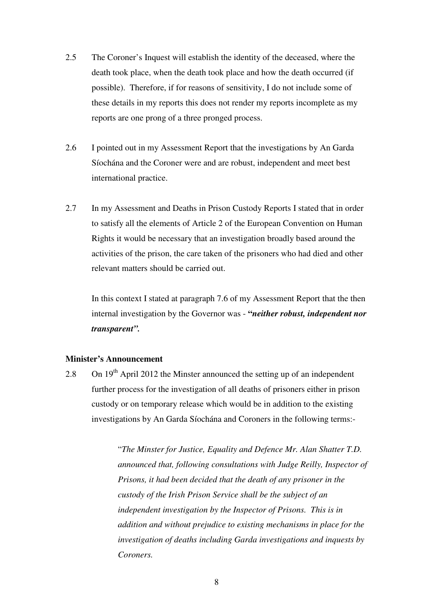- 2.5 The Coroner's Inquest will establish the identity of the deceased, where the death took place, when the death took place and how the death occurred (if possible). Therefore, if for reasons of sensitivity, I do not include some of these details in my reports this does not render my reports incomplete as my reports are one prong of a three pronged process.
- 2.6 I pointed out in my Assessment Report that the investigations by An Garda Síochána and the Coroner were and are robust, independent and meet best international practice.
- 2.7 In my Assessment and Deaths in Prison Custody Reports I stated that in order to satisfy all the elements of Article 2 of the European Convention on Human Rights it would be necessary that an investigation broadly based around the activities of the prison, the care taken of the prisoners who had died and other relevant matters should be carried out.

In this context I stated at paragraph 7.6 of my Assessment Report that the then internal investigation by the Governor was - **"***neither robust, independent nor transparent".*

### **Minister's Announcement**

2.8 On  $19<sup>th</sup>$  April 2012 the Minster announced the setting up of an independent further process for the investigation of all deaths of prisoners either in prison custody or on temporary release which would be in addition to the existing investigations by An Garda Síochána and Coroners in the following terms:-

> "*The Minster for Justice, Equality and Defence Mr. Alan Shatter T.D. announced that, following consultations with Judge Reilly, Inspector of Prisons, it had been decided that the death of any prisoner in the custody of the Irish Prison Service shall be the subject of an independent investigation by the Inspector of Prisons. This is in addition and without prejudice to existing mechanisms in place for the investigation of deaths including Garda investigations and inquests by Coroners.*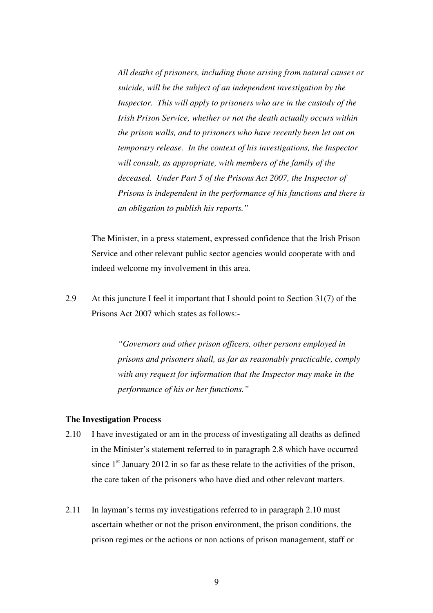*All deaths of prisoners, including those arising from natural causes or suicide, will be the subject of an independent investigation by the Inspector. This will apply to prisoners who are in the custody of the Irish Prison Service, whether or not the death actually occurs within the prison walls, and to prisoners who have recently been let out on temporary release. In the context of his investigations, the Inspector will consult, as appropriate, with members of the family of the deceased. Under Part 5 of the Prisons Act 2007, the Inspector of Prisons is independent in the performance of his functions and there is an obligation to publish his reports."* 

The Minister, in a press statement, expressed confidence that the Irish Prison Service and other relevant public sector agencies would cooperate with and indeed welcome my involvement in this area.

2.9 At this juncture I feel it important that I should point to Section 31(7) of the Prisons Act 2007 which states as follows:-

> *"Governors and other prison officers, other persons employed in prisons and prisoners shall, as far as reasonably practicable, comply with any request for information that the Inspector may make in the performance of his or her functions."*

#### **The Investigation Process**

- 2.10 I have investigated or am in the process of investigating all deaths as defined in the Minister's statement referred to in paragraph 2.8 which have occurred since  $1<sup>st</sup>$  January 2012 in so far as these relate to the activities of the prison, the care taken of the prisoners who have died and other relevant matters.
- 2.11 In layman's terms my investigations referred to in paragraph 2.10 must ascertain whether or not the prison environment, the prison conditions, the prison regimes or the actions or non actions of prison management, staff or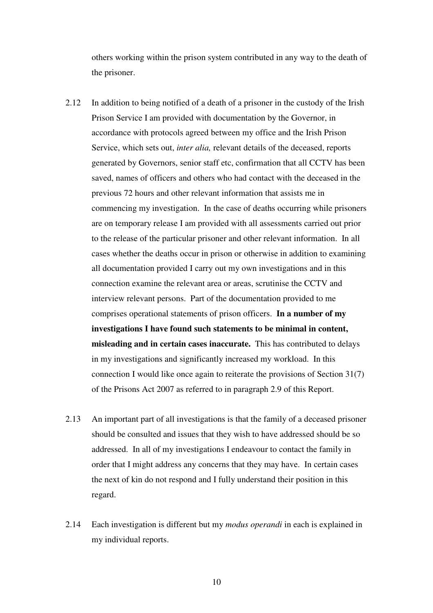others working within the prison system contributed in any way to the death of the prisoner.

- 2.12 In addition to being notified of a death of a prisoner in the custody of the Irish Prison Service I am provided with documentation by the Governor, in accordance with protocols agreed between my office and the Irish Prison Service, which sets out, *inter alia,* relevant details of the deceased, reports generated by Governors, senior staff etc, confirmation that all CCTV has been saved, names of officers and others who had contact with the deceased in the previous 72 hours and other relevant information that assists me in commencing my investigation. In the case of deaths occurring while prisoners are on temporary release I am provided with all assessments carried out prior to the release of the particular prisoner and other relevant information. In all cases whether the deaths occur in prison or otherwise in addition to examining all documentation provided I carry out my own investigations and in this connection examine the relevant area or areas, scrutinise the CCTV and interview relevant persons. Part of the documentation provided to me comprises operational statements of prison officers. **In a number of my investigations I have found such statements to be minimal in content, misleading and in certain cases inaccurate.** This has contributed to delays in my investigations and significantly increased my workload. In this connection I would like once again to reiterate the provisions of Section 31(7) of the Prisons Act 2007 as referred to in paragraph 2.9 of this Report.
- 2.13 An important part of all investigations is that the family of a deceased prisoner should be consulted and issues that they wish to have addressed should be so addressed. In all of my investigations I endeavour to contact the family in order that I might address any concerns that they may have. In certain cases the next of kin do not respond and I fully understand their position in this regard.
- 2.14 Each investigation is different but my *modus operandi* in each is explained in my individual reports.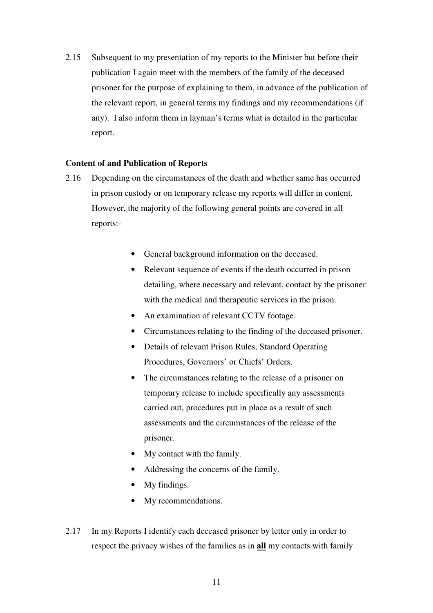2.15 Subsequent to my presentation of my reports to the Minister but before their publication I again meet with the members of the family of the deceased prisoner for the purpose of explaining to them, in advance of the publication of the relevant report, in general terms my findings and my recommendations (if any). I also inform them in layman's terms what is detailed in the particular report.

#### **Content of and Publication of Reports**

- 2.16 Depending on the circumstances of the death and whether same has occurred in prison custody or on temporary release my reports will differ in content. However, the majority of the following general points are covered in all reports:-
	- General background information on the deceased.
	- Relevant sequence of events if the death occurred in prison detailing, where necessary and relevant, contact by the prisoner with the medical and therapeutic services in the prison.
	- An examination of relevant CCTV footage.
	- Circumstances relating to the finding of the deceased prisoner.
	- Details of relevant Prison Rules, Standard Operating Procedures, Governors' or Chiefs' Orders.
	- The circumstances relating to the release of a prisoner on temporary release to include specifically any assessments carried out, procedures put in place as a result of such assessments and the circumstances of the release of the prisoner.
	- My contact with the family.
	- Addressing the concerns of the family.
	- My findings.
	- My recommendations.
- 2.17 In my Reports I identify each deceased prisoner by letter only in order to respect the privacy wishes of the families as in **all** my contacts with family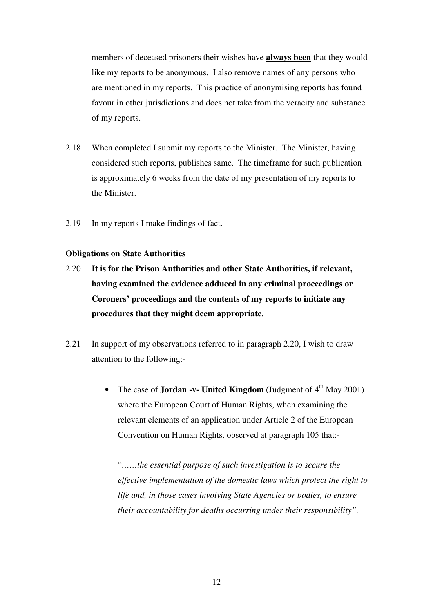members of deceased prisoners their wishes have **always been** that they would like my reports to be anonymous. I also remove names of any persons who are mentioned in my reports. This practice of anonymising reports has found favour in other jurisdictions and does not take from the veracity and substance of my reports.

- 2.18 When completed I submit my reports to the Minister. The Minister, having considered such reports, publishes same. The timeframe for such publication is approximately 6 weeks from the date of my presentation of my reports to the Minister.
- 2.19 In my reports I make findings of fact.

#### **Obligations on State Authorities**

- 2.20 **It is for the Prison Authorities and other State Authorities, if relevant, having examined the evidence adduced in any criminal proceedings or Coroners' proceedings and the contents of my reports to initiate any procedures that they might deem appropriate.**
- 2.21 In support of my observations referred to in paragraph 2.20, I wish to draw attention to the following:-
	- The case of **Jordan -v- United Kingdom** (Judgment of  $4<sup>th</sup>$  May 2001) where the European Court of Human Rights, when examining the relevant elements of an application under Article 2 of the European Convention on Human Rights, observed at paragraph 105 that:-

"*……the essential purpose of such investigation is to secure the effective implementation of the domestic laws which protect the right to life and, in those cases involving State Agencies or bodies, to ensure their accountability for deaths occurring under their responsibility".*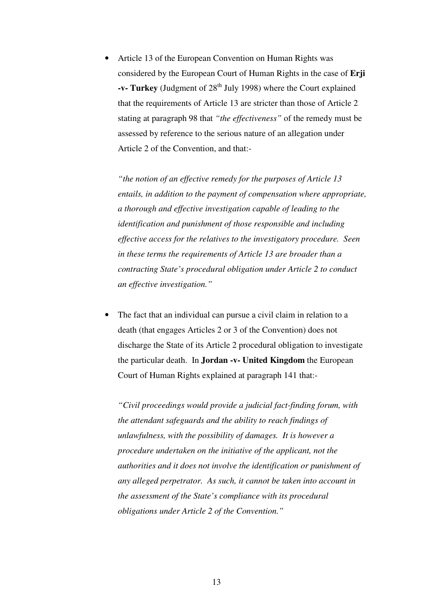• Article 13 of the European Convention on Human Rights was considered by the European Court of Human Rights in the case of **Erji -v- Turkey** (Judgment of 28<sup>th</sup> July 1998) where the Court explained that the requirements of Article 13 are stricter than those of Article 2 stating at paragraph 98 that *"the effectiveness"* of the remedy must be assessed by reference to the serious nature of an allegation under Article 2 of the Convention, and that:-

*"the notion of an effective remedy for the purposes of Article 13 entails, in addition to the payment of compensation where appropriate, a thorough and effective investigation capable of leading to the identification and punishment of those responsible and including effective access for the relatives to the investigatory procedure. Seen in these terms the requirements of Article 13 are broader than a contracting State's procedural obligation under Article 2 to conduct an effective investigation."* 

The fact that an individual can pursue a civil claim in relation to a death (that engages Articles 2 or 3 of the Convention) does not discharge the State of its Article 2 procedural obligation to investigate the particular death. In **Jordan -v- United Kingdom** the European Court of Human Rights explained at paragraph 141 that:-

*"Civil proceedings would provide a judicial fact-finding forum, with the attendant safeguards and the ability to reach findings of unlawfulness, with the possibility of damages. It is however a procedure undertaken on the initiative of the applicant, not the authorities and it does not involve the identification or punishment of any alleged perpetrator. As such, it cannot be taken into account in the assessment of the State's compliance with its procedural obligations under Article 2 of the Convention."*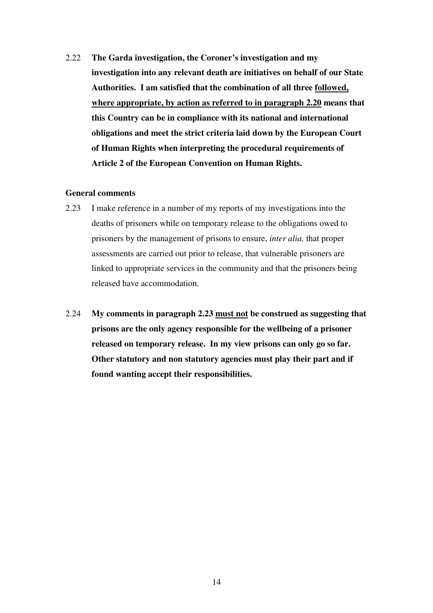2.22 **The Garda investigation, the Coroner's investigation and my investigation into any relevant death are initiatives on behalf of our State Authorities. I am satisfied that the combination of all three followed, where appropriate, by action as referred to in paragraph 2.20 means that this Country can be in compliance with its national and international obligations and meet the strict criteria laid down by the European Court of Human Rights when interpreting the procedural requirements of Article 2 of the European Convention on Human Rights.** 

#### **General comments**

- 2.23 I make reference in a number of my reports of my investigations into the deaths of prisoners while on temporary release to the obligations owed to prisoners by the management of prisons to ensure, *inter alia,* that proper assessments are carried out prior to release, that vulnerable prisoners are linked to appropriate services in the community and that the prisoners being released have accommodation.
- 2.24 **My comments in paragraph 2.23 must not be construed as suggesting that prisons are the only agency responsible for the wellbeing of a prisoner released on temporary release. In my view prisons can only go so far. Other statutory and non statutory agencies must play their part and if found wanting accept their responsibilities.**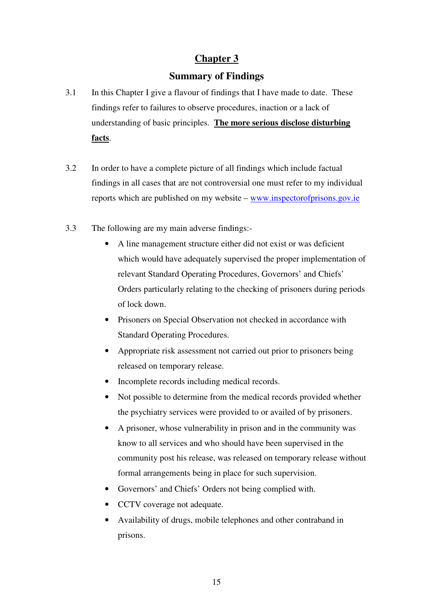# **Summary of Findings**

- 3.1 In this Chapter I give a flavour of findings that I have made to date. These findings refer to failures to observe procedures, inaction or a lack of understanding of basic principles. **The more serious disclose disturbing facts**.
- 3.2 In order to have a complete picture of all findings which include factual findings in all cases that are not controversial one must refer to my individual reports which are published on my website – www.inspectorofprisons.gov.ie
- 3.3 The following are my main adverse findings:-
	- A line management structure either did not exist or was deficient which would have adequately supervised the proper implementation of relevant Standard Operating Procedures, Governors' and Chiefs' Orders particularly relating to the checking of prisoners during periods of lock down.
	- Prisoners on Special Observation not checked in accordance with Standard Operating Procedures.
	- Appropriate risk assessment not carried out prior to prisoners being released on temporary release.
	- Incomplete records including medical records.
	- Not possible to determine from the medical records provided whether the psychiatry services were provided to or availed of by prisoners.
	- A prisoner, whose vulnerability in prison and in the community was know to all services and who should have been supervised in the community post his release, was released on temporary release without formal arrangements being in place for such supervision.
	- Governors' and Chiefs' Orders not being complied with.
	- CCTV coverage not adequate.
	- Availability of drugs, mobile telephones and other contraband in prisons.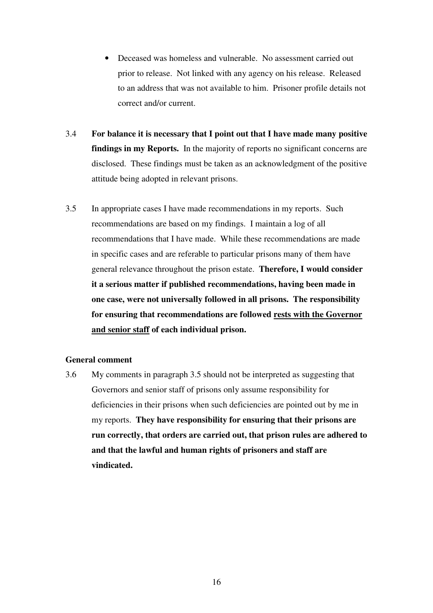- Deceased was homeless and vulnerable. No assessment carried out prior to release. Not linked with any agency on his release. Released to an address that was not available to him. Prisoner profile details not correct and/or current.
- 3.4 **For balance it is necessary that I point out that I have made many positive findings in my Reports.** In the majority of reports no significant concerns are disclosed. These findings must be taken as an acknowledgment of the positive attitude being adopted in relevant prisons.
- 3.5 In appropriate cases I have made recommendations in my reports. Such recommendations are based on my findings. I maintain a log of all recommendations that I have made. While these recommendations are made in specific cases and are referable to particular prisons many of them have general relevance throughout the prison estate. **Therefore, I would consider it a serious matter if published recommendations, having been made in one case, were not universally followed in all prisons. The responsibility for ensuring that recommendations are followed rests with the Governor and senior staff of each individual prison.**

## **General comment**

3.6 My comments in paragraph 3.5 should not be interpreted as suggesting that Governors and senior staff of prisons only assume responsibility for deficiencies in their prisons when such deficiencies are pointed out by me in my reports. **They have responsibility for ensuring that their prisons are run correctly, that orders are carried out, that prison rules are adhered to and that the lawful and human rights of prisoners and staff are vindicated.**